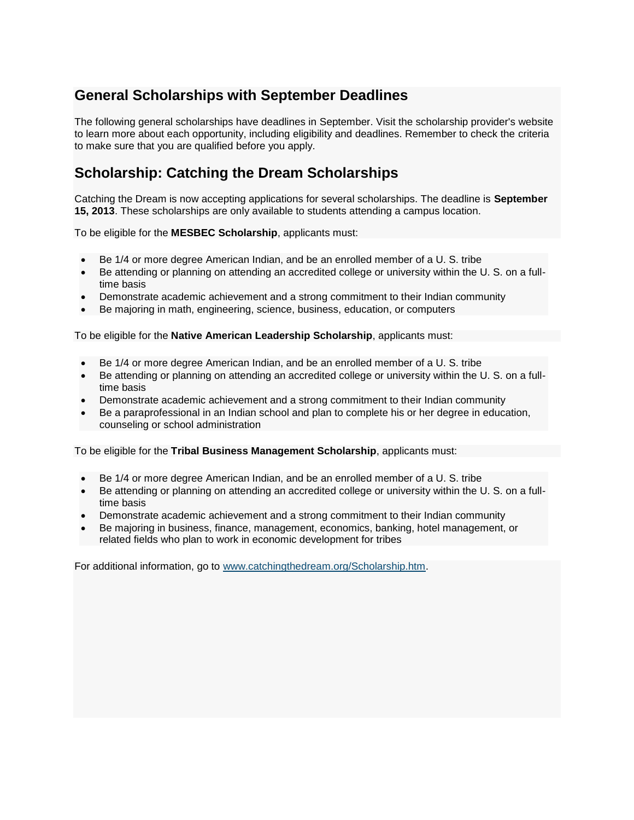## **General Scholarships with September Deadlines**

The following general scholarships have deadlines in September. Visit the scholarship provider's website to learn more about each opportunity, including eligibility and deadlines. Remember to check the criteria to make sure that you are qualified before you apply.

## **Scholarship: Catching the Dream Scholarships**

Catching the Dream is now accepting applications for several scholarships. The deadline is **September 15, 2013**. These scholarships are only available to students attending a campus location.

To be eligible for the **MESBEC Scholarship**, applicants must:

- Be 1/4 or more degree American Indian, and be an enrolled member of a U. S. tribe
- Be attending or planning on attending an accredited college or university within the U. S. on a fulltime basis
- Demonstrate academic achievement and a strong commitment to their Indian community
- Be majoring in math, engineering, science, business, education, or computers

To be eligible for the **Native American Leadership Scholarship**, applicants must:

- Be 1/4 or more degree American Indian, and be an enrolled member of a U. S. tribe
- Be attending or planning on attending an accredited college or university within the U. S. on a fulltime basis
- Demonstrate academic achievement and a strong commitment to their Indian community
- Be a paraprofessional in an Indian school and plan to complete his or her degree in education, counseling or school administration

To be eligible for the **Tribal Business Management Scholarship**, applicants must:

- Be 1/4 or more degree American Indian, and be an enrolled member of a U. S. tribe
- Be attending or planning on attending an accredited college or university within the U. S. on a fulltime basis
- Demonstrate academic achievement and a strong commitment to their Indian community
- Be majoring in business, finance, management, economics, banking, hotel management, or related fields who plan to work in economic development for tribes

For additional information, go to [www.catchingthedream.org/Scholarship.htm.](http://www.catchingthedream.org/Scholarship.htm)